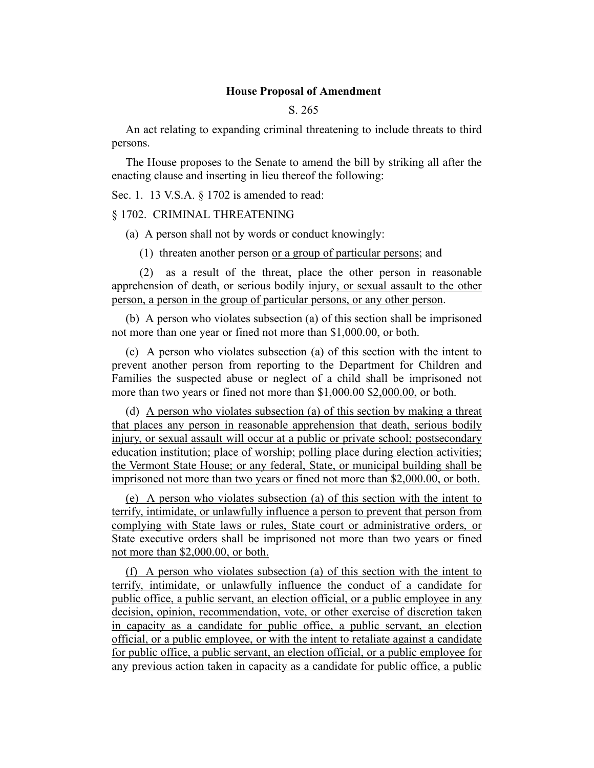## **House Proposal of Amendment**

## S. 265

An act relating to expanding criminal threatening to include threats to third persons.

The House proposes to the Senate to amend the bill by striking all after the enacting clause and inserting in lieu thereof the following:

Sec. 1. 13 V.S.A. § 1702 is amended to read:

## § 1702. CRIMINAL THREATENING

(a) A person shall not by words or conduct knowingly:

(1) threaten another person or a group of particular persons; and

(2) as a result of the threat, place the other person in reasonable apprehension of death, or serious bodily injury, or sexual assault to the other person, a person in the group of particular persons, or any other person.

(b) A person who violates subsection (a) of this section shall be imprisoned not more than one year or fined not more than \$1,000.00, or both.

(c) A person who violates subsection (a) of this section with the intent to prevent another person from reporting to the Department for Children and Families the suspected abuse or neglect of a child shall be imprisoned not more than two years or fined not more than \$1,000.00 \$2,000.00, or both.

(d) A person who violates subsection (a) of this section by making a threat that places any person in reasonable apprehension that death, serious bodily injury, or sexual assault will occur at a public or private school; postsecondary education institution; place of worship; polling place during election activities; the Vermont State House; or any federal, State, or municipal building shall be imprisoned not more than two years or fined not more than \$2,000.00, or both.

(e) A person who violates subsection (a) of this section with the intent to terrify, intimidate, or unlawfully influence a person to prevent that person from complying with State laws or rules, State court or administrative orders, or State executive orders shall be imprisoned not more than two years or fined not more than \$2,000.00, or both.

(f) A person who violates subsection (a) of this section with the intent to terrify, intimidate, or unlawfully influence the conduct of a candidate for public office, a public servant, an election official, or a public employee in any decision, opinion, recommendation, vote, or other exercise of discretion taken in capacity as a candidate for public office, a public servant, an election official, or a public employee, or with the intent to retaliate against a candidate for public office, a public servant, an election official, or a public employee for any previous action taken in capacity as a candidate for public office, a public